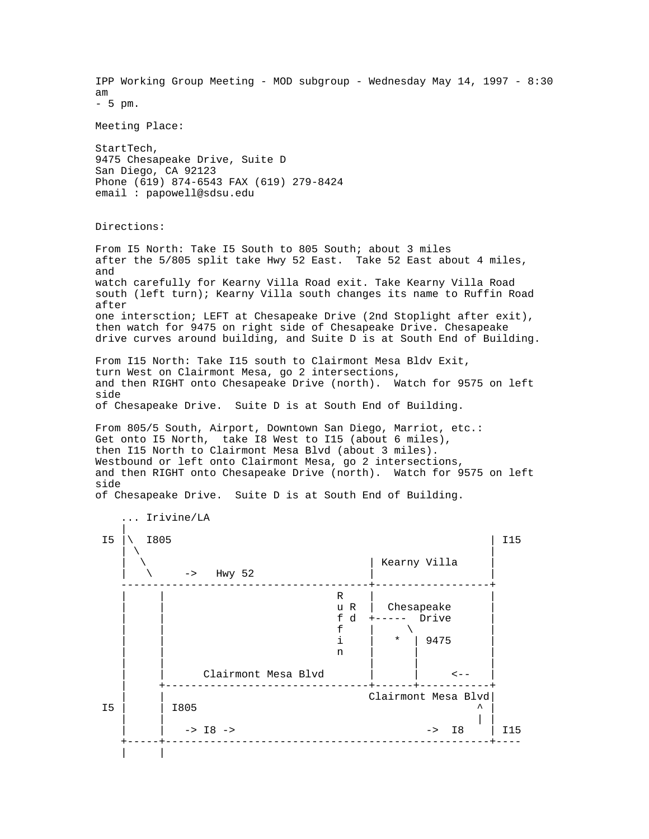IPP Working Group Meeting - MOD subgroup - Wednesday May 14, 1997 - 8:30 am - 5 pm. Meeting Place: StartTech, 9475 Chesapeake Drive, Suite D San Diego, CA 92123 Phone (619) 874-6543 FAX (619) 279-8424 email : papowell@sdsu.edu Directions: From I5 North: Take I5 South to 805 South; about 3 miles after the 5/805 split take Hwy 52 East. Take 52 East about 4 miles, and watch carefully for Kearny Villa Road exit. Take Kearny Villa Road south (left turn); Kearny Villa south changes its name to Ruffin Road after one intersction; LEFT at Chesapeake Drive (2nd Stoplight after exit), then watch for 9475 on right side of Chesapeake Drive. Chesapeake drive curves around building, and Suite D is at South End of Building. From I15 North: Take I15 south to Clairmont Mesa Bldv Exit, turn West on Clairmont Mesa, go 2 intersections, and then RIGHT onto Chesapeake Drive (north). Watch for 9575 on left side of Chesapeake Drive. Suite D is at South End of Building. From 805/5 South, Airport, Downtown San Diego, Marriot, etc.: Get onto I5 North, take I8 West to I15 (about 6 miles), then I15 North to Clairmont Mesa Blvd (about 3 miles). Westbound or left onto Clairmont Mesa, go 2 intersections, and then RIGHT onto Chesapeake Drive (north). Watch for 9575 on left side of Chesapeake Drive. Suite D is at South End of Building. ... Irivine/LA || || || || || I5 |\ I805 | I15  $\| \nabla \cdot \mathbf{v} \|$ | Kearny Villa  $\backslash$  -> Hwy 52 ---------------------------------------+------------------+ | | R | |  $\vert u \vert R \vert$  Chesapeake  $f$  d +----- Drive<br> $f$  | \ | | f | \ | | | i | \* | 9475 | | | n | | | | | | | | Clairmont Mesa Blvd | | <-- | +--------------------------------+------+-----------+ | | Clairmont Mesa Blvd| I5 | | I805 ^ | | | | |  $|$  -> I8 -> -> I8  $|$  I15 +-----+---------------------------------------------------+---- | |